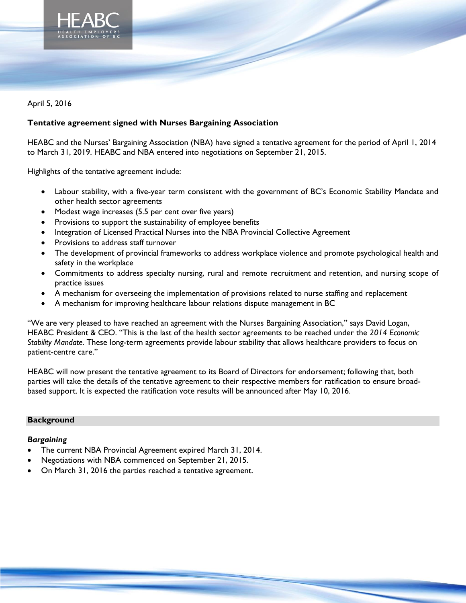

April 5, 2016

# **Tentative agreement signed with Nurses Bargaining Association**

HEABC and the Nurses' Bargaining Association (NBA) have signed a tentative agreement for the period of April 1, 2014 to March 31, 2019. HEABC and NBA entered into negotiations on September 21, 2015.

Highlights of the tentative agreement include:

- Labour stability, with a five-year term consistent with the government of BC's Economic Stability Mandate and other health sector agreements
- Modest wage increases (5.5 per cent over five years)
- Provisions to support the sustainability of employee benefits
- Integration of Licensed Practical Nurses into the NBA Provincial Collective Agreement
- Provisions to address staff turnover
- The development of provincial frameworks to address workplace violence and promote psychological health and safety in the workplace
- Commitments to address specialty nursing, rural and remote recruitment and retention, and nursing scope of practice issues
- A mechanism for overseeing the implementation of provisions related to nurse staffing and replacement
- A mechanism for improving healthcare labour relations dispute management in BC

"We are very pleased to have reached an agreement with the Nurses Bargaining Association," says David Logan, HEABC President & CEO. "This is the last of the health sector agreements to be reached under the *2014 Economic Stability Mandate*. These long-term agreements provide labour stability that allows healthcare providers to focus on patient-centre care."

HEABC will now present the tentative agreement to its Board of Directors for endorsement; following that, both parties will take the details of the tentative agreement to their respective members for ratification to ensure broadbased support. It is expected the ratification vote results will be announced after May 10, 2016.

### **Background**

### *Bargaining*

- The current NBA Provincial Agreement expired March 31, 2014.
- Negotiations with NBA commenced on September 21, 2015.
- On March 31, 2016 the parties reached a tentative agreement.